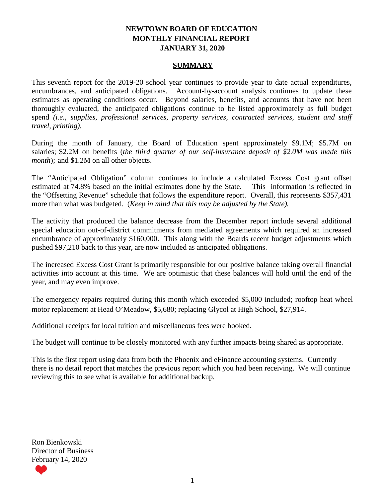### **NEWTOWN BOARD OF EDUCATION MONTHLY FINANCIAL REPORT JANUARY 31, 2020**

#### **SUMMARY**

This seventh report for the 2019-20 school year continues to provide year to date actual expenditures, encumbrances, and anticipated obligations. Account-by-account analysis continues to update these estimates as operating conditions occur. Beyond salaries, benefits, and accounts that have not been thoroughly evaluated, the anticipated obligations continue to be listed approximately as full budget spend *(i.e., supplies, professional services, property services, contracted services, student and staff travel, printing).*

During the month of January, the Board of Education spent approximately \$9.1M; \$5.7M on salaries; \$2.2M on benefits (*the third quarter of our self-insurance deposit of \$2.0M was made this month*); and \$1.2M on all other objects.

The "Anticipated Obligation" column continues to include a calculated Excess Cost grant offset estimated at 74.8% based on the initial estimates done by the State. This information is reflected in the "Offsetting Revenue" schedule that follows the expenditure report. Overall, this represents \$357,431 more than what was budgeted. (*Keep in mind that this may be adjusted by the State).*

The activity that produced the balance decrease from the December report include several additional special education out-of-district commitments from mediated agreements which required an increased encumbrance of approximately \$160,000. This along with the Boards recent budget adjustments which pushed \$97,210 back to this year, are now included as anticipated obligations.

The increased Excess Cost Grant is primarily responsible for our positive balance taking overall financial activities into account at this time. We are optimistic that these balances will hold until the end of the year, and may even improve.

The emergency repairs required during this month which exceeded \$5,000 included; rooftop heat wheel motor replacement at Head O'Meadow, \$5,680; replacing Glycol at High School, \$27,914.

Additional receipts for local tuition and miscellaneous fees were booked.

The budget will continue to be closely monitored with any further impacts being shared as appropriate.

This is the first report using data from both the Phoenix and eFinance accounting systems. Currently there is no detail report that matches the previous report which you had been receiving. We will continue reviewing this to see what is available for additional backup.

Ron Bienkowski Director of Business February 14, 2020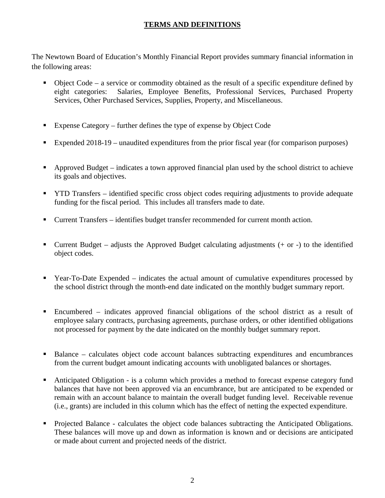# **TERMS AND DEFINITIONS**

The Newtown Board of Education's Monthly Financial Report provides summary financial information in the following areas:

- $\bullet$  Object Code a service or commodity obtained as the result of a specific expenditure defined by eight categories: Salaries, Employee Benefits, Professional Services, Purchased Property Services, Other Purchased Services, Supplies, Property, and Miscellaneous.
- Expense Category further defines the type of expense by Object Code
- Expended 2018-19 unaudited expenditures from the prior fiscal year (for comparison purposes)
- Approved Budget indicates a town approved financial plan used by the school district to achieve its goals and objectives.
- **TYTD Transfers** identified specific cross object codes requiring adjustments to provide adequate funding for the fiscal period. This includes all transfers made to date.
- Current Transfers identifies budget transfer recommended for current month action.
- Current Budget adjusts the Approved Budget calculating adjustments  $(+)$  or  $-)$  to the identified object codes.
- Year-To-Date Expended indicates the actual amount of cumulative expenditures processed by the school district through the month-end date indicated on the monthly budget summary report.
- Encumbered indicates approved financial obligations of the school district as a result of employee salary contracts, purchasing agreements, purchase orders, or other identified obligations not processed for payment by the date indicated on the monthly budget summary report.
- Balance calculates object code account balances subtracting expenditures and encumbrances from the current budget amount indicating accounts with unobligated balances or shortages.
- Anticipated Obligation is a column which provides a method to forecast expense category fund balances that have not been approved via an encumbrance, but are anticipated to be expended or remain with an account balance to maintain the overall budget funding level. Receivable revenue (i.e., grants) are included in this column which has the effect of netting the expected expenditure.
- Projected Balance calculates the object code balances subtracting the Anticipated Obligations. These balances will move up and down as information is known and or decisions are anticipated or made about current and projected needs of the district.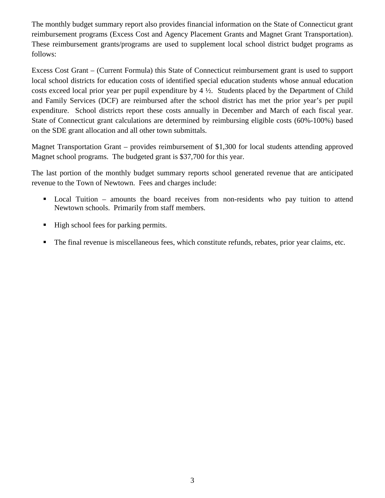The monthly budget summary report also provides financial information on the State of Connecticut grant reimbursement programs (Excess Cost and Agency Placement Grants and Magnet Grant Transportation). These reimbursement grants/programs are used to supplement local school district budget programs as follows:

Excess Cost Grant – (Current Formula) this State of Connecticut reimbursement grant is used to support local school districts for education costs of identified special education students whose annual education costs exceed local prior year per pupil expenditure by 4 ½. Students placed by the Department of Child and Family Services (DCF) are reimbursed after the school district has met the prior year's per pupil expenditure. School districts report these costs annually in December and March of each fiscal year. State of Connecticut grant calculations are determined by reimbursing eligible costs (60%-100%) based on the SDE grant allocation and all other town submittals.

Magnet Transportation Grant – provides reimbursement of \$1,300 for local students attending approved Magnet school programs. The budgeted grant is \$37,700 for this year.

The last portion of the monthly budget summary reports school generated revenue that are anticipated revenue to the Town of Newtown. Fees and charges include:

- Local Tuition amounts the board receives from non-residents who pay tuition to attend Newtown schools. Primarily from staff members.
- High school fees for parking permits.
- The final revenue is miscellaneous fees, which constitute refunds, rebates, prior year claims, etc.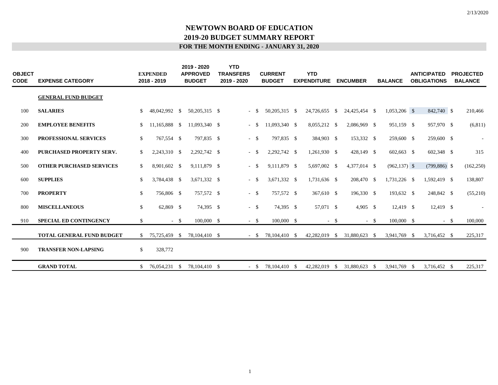| <b>OBJECT</b><br>CODE | <b>EXPENSE CATEGORY</b>          |              | <b>EXPENDED</b><br>2018 - 2019 |        | 2019 - 2020<br><b>APPROVED</b><br><b>BUDGET</b> | <b>YTD</b><br><b>TRANSFERS</b><br>2019 - 2020 |        | <b>CURRENT</b><br><b>BUDGET</b> | <b>YTD</b><br><b>EXPENDITURE</b> |        | <b>ENCUMBER</b> |        | <b>BALANCE</b>  | <b>ANTICIPATED</b><br><b>OBLIGATIONS</b> | <b>PROJECTED</b><br><b>BALANCE</b> |
|-----------------------|----------------------------------|--------------|--------------------------------|--------|-------------------------------------------------|-----------------------------------------------|--------|---------------------------------|----------------------------------|--------|-----------------|--------|-----------------|------------------------------------------|------------------------------------|
|                       | <b>GENERAL FUND BUDGET</b>       |              |                                |        |                                                 |                                               |        |                                 |                                  |        |                 |        |                 |                                          |                                    |
| 100                   | <b>SALARIES</b>                  | \$           | 48,042,992 \$                  |        | 50,205,315 \$                                   | $-$ \$                                        |        | 50,205,315 \$                   | 24,726,655 \$                    |        | 24,425,454 \$   |        | $1,053,206$ \$  | 842,740 \$                               | 210,466                            |
| 200                   | <b>EMPLOYEE BENEFITS</b>         | S.           | 11,165,888 \$                  |        | 11,093,340 \$                                   | $\sim$                                        | -S     | 11,093,340 \$                   | 8,055,212 \$                     |        | 2,086,969 \$    |        | 951,159 \$      | 957,970 \$                               | (6,811)                            |
| 300                   | PROFESSIONAL SERVICES            | \$           | 767,554 \$                     |        | 797,835 \$                                      | $-$ \$                                        |        | 797,835 \$                      | 384,903 \$                       |        | 153,332 \$      |        | 259,600 \$      | 259,600 \$                               | $\sim$                             |
| 400                   | <b>PURCHASED PROPERTY SERV.</b>  | \$           | 2,243,310 \$                   |        | 2,292,742 \$                                    | $\sim$                                        | - \$   | 2,292,742 \$                    | 1,261,930 \$                     |        | 428,149 \$      |        | 602,663 \$      | 602,348 \$                               | 315                                |
| 500                   | <b>OTHER PURCHASED SERVICES</b>  | \$           | 8,901,602 \$                   |        | 9,111,879 \$                                    | $\sim$                                        | - \$   | 9,111,879 \$                    | 5,697,002 \$                     |        | 4,377,014 \$    |        | $(962, 137)$ \$ | $(799,886)$ \$                           | (162, 250)                         |
| 600                   | <b>SUPPLIES</b>                  | \$           | 3,784,438 \$                   |        | 3,671,332 \$                                    | $-$ \$                                        |        | 3,671,332 \$                    | 1,731,636 \$                     |        | 208,470 \$      |        | 1,731,226 \$    | 1,592,419 \$                             | 138,807                            |
| 700                   | <b>PROPERTY</b>                  | \$           | 756,806 \$                     |        | 757,572 \$                                      | $-$ \$                                        |        | 757,572 \$                      | 367,610 \$                       |        | 196,330 \$      |        | 193,632 \$      | 248,842 \$                               | (55,210)                           |
| 800                   | <b>MISCELLANEOUS</b>             | $\mathbb{S}$ | 62,869 \$                      |        | 74,395 \$                                       | $-$ \$                                        |        | 74,395 \$                       | 57,071 \$                        |        | 4,905 \$        |        | 12,419 \$       | 12,419 \$                                | $\sim$                             |
| 910                   | <b>SPECIAL ED CONTINGENCY</b>    | $\mathbb{S}$ |                                | $-$ \$ | $100,000$ \$                                    | $-$ \$                                        |        | $100,000$ \$                    |                                  | $-$ \$ |                 | $-$ \$ | 100,000 \$      | $-$ \$                                   | 100,000                            |
|                       | <b>TOTAL GENERAL FUND BUDGET</b> | S.           | 75,725,459 \$                  |        | 78,104,410 \$                                   |                                               | $-$ S  | 78,104,410 \$                   | 42,282,019 \$                    |        | 31,880,623 \$   |        | 3,941,769 \$    | 3,716,452 \$                             | 225,317                            |
| 900                   | <b>TRANSFER NON-LAPSING</b>      | \$           | 328,772                        |        |                                                 |                                               |        |                                 |                                  |        |                 |        |                 |                                          |                                    |
|                       | <b>GRAND TOTAL</b>               |              | 76,054,231 \$                  |        | 78,104,410 \$                                   |                                               | $-$ \$ | 78,104,410 \$                   | 42,282,019                       | - \$   | 31,880,623 \$   |        | 3,941,769 \$    | 3,716,452 \$                             | 225,317                            |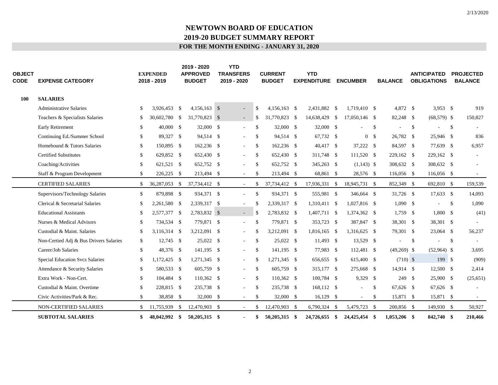| <b>OBJECT</b><br><b>CODE</b> | <b>EXPENSE CATEGORY</b>                |              | <b>EXPENDED</b><br>2018 - 2019 | 2019 - 2020<br><b>APPROVED</b><br><b>BUDGET</b> | <b>YTD</b><br><b>TRANSFERS</b><br>2019 - 2020 |               | <b>CURRENT</b><br><b>BUDGET</b> | <b>YTD</b><br><b>EXPENDITURE</b> | <b>ENCUMBER</b> |               | <b>BALANCE</b> |              | <b>ANTICIPATED</b><br><b>OBLIGATIONS</b> |               | <b>PROJECTED</b><br><b>BALANCE</b> |
|------------------------------|----------------------------------------|--------------|--------------------------------|-------------------------------------------------|-----------------------------------------------|---------------|---------------------------------|----------------------------------|-----------------|---------------|----------------|--------------|------------------------------------------|---------------|------------------------------------|
| <b>100</b>                   | <b>SALARIES</b>                        |              |                                |                                                 |                                               |               |                                 |                                  |                 |               |                |              |                                          |               |                                    |
|                              | <b>Administrative Salaries</b>         | \$           | 3,926,453 \$                   | $4,156,163$ \$                                  |                                               | -S            | $4,156,163$ \$                  | 2,431,882 \$                     | 1,719,410 \$    |               | 4,872 \$       |              | 3,953 \$                                 |               | 919                                |
|                              | Teachers & Specialists Salaries        | \$           | 30,602,780 \$                  | 31,770,823 \$                                   | $\sim$                                        | -S            | 31,770,823 \$                   | 14,638,429 \$                    | 17,050,146 \$   |               | 82,248 \$      |              | $(68,579)$ \$                            |               | 150,827                            |
|                              | <b>Early Retirement</b>                | \$           | 40,000 \$                      | 32,000 \$                                       | $\sim$                                        | \$            | 32,000 \$                       | 32,000 \$                        |                 | <sup>\$</sup> |                | \$           |                                          | $\mathbb{S}$  |                                    |
|                              | Continuing Ed./Summer School           | \$           | 89,327 \$                      | 94,514 \$                                       |                                               | \$            | 94,514 \$                       | 67,732 \$                        | $\mathbf{0}$    | -\$           | 26,782 \$      |              | 25,946 \$                                |               | 836                                |
|                              | Homebound & Tutors Salaries            | \$           | 150,895 \$                     | $162,236$ \$                                    |                                               | \$            | $162,236$ \$                    | 40,417 \$                        | 37,222 \$       |               | 84,597 \$      |              | 77,639 \$                                |               | 6,957                              |
|                              | <b>Certified Substitutes</b>           | \$           | 629,852 \$                     | 652,430 \$                                      | $\sim$                                        | \$            | 652,430 \$                      | 311,748 \$                       | 111,520 \$      |               | 229,162 \$     |              | 229,162 \$                               |               |                                    |
|                              | Coaching/Activities                    | \$           | 621,521 \$                     | 652,752 \$                                      |                                               | \$            | 652,752 \$                      | 345,263 \$                       | $(1,143)$ \$    |               | 308,632 \$     |              | 308,632 \$                               |               |                                    |
|                              | Staff & Program Development            | \$           | 226,225 \$                     | 213,494 \$                                      | $\overline{\phantom{a}}$                      | <sup>\$</sup> | 213,494 \$                      | 68,861 \$                        | 28,576 \$       |               | $116,056$ \$   |              | 116,056 \$                               |               |                                    |
|                              | <b>CERTIFIED SALARIES</b>              | \$           | 36,287,053 \$                  | 37,734,412 \$                                   | $\overline{\phantom{a}}$                      | \$            | 37,734,412 \$                   | 17,936,331 \$                    | 18,945,731 \$   |               | 852,349 \$     |              | 692,810 \$                               |               | 159,539                            |
|                              | Supervisors/Technology Salaries        | \$           | 879,898 \$                     | 934,371 \$                                      |                                               | \$            | 934,371 \$                      | 555,981 \$                       | 346,664 \$      |               | 31,726 \$      |              | 17,633 \$                                |               | 14,093                             |
|                              | Clerical & Secretarial Salaries        | \$           | 2,261,580 \$                   | 2,339,317 \$                                    | $\sim$                                        | <sup>\$</sup> | 2,339,317 \$                    | 1,310,411 \$                     | 1,027,816 \$    |               | $1,090$ \$     |              |                                          | $\mathcal{S}$ | 1,090                              |
|                              | <b>Educational Assistants</b>          | \$           | 2,577,377 \$                   | 2,783,832 \$                                    | $\sim 100$                                    | $\mathbf{s}$  | 2,783,832 \$                    | 1,407,711 \$                     | 1,374,362 \$    |               | $1,759$ \$     |              | 1,800 \$                                 |               | (41)                               |
|                              | Nurses & Medical Advisors              | \$           | 734,534 \$                     | 779,871 \$                                      | $\sim$                                        | \$            | 779,871 \$                      | 353,723 \$                       | 387,847 \$      |               | 38,301 \$      |              | 38,301 \$                                |               |                                    |
|                              | Custodial & Maint. Salaries            | \$           | 3,116,314 \$                   | 3,212,091 \$                                    |                                               | S             | 3,212,091 \$                    | 1,816,165 \$                     | 1,316,625 \$    |               | 79,301 \$      |              | 23,064 \$                                |               | 56,237                             |
|                              | Non-Certied Adj & Bus Drivers Salaries | \$           | $12,745$ \$                    | 25,022 \$                                       |                                               | <sup>\$</sup> | 25,022 \$                       | $11,493$ \$                      | 13,529 \$       |               |                | $\mathbb{S}$ |                                          | $\mathbb{S}$  |                                    |
|                              | Career/Job Salaries                    | $\mathbb{S}$ | 48,376 \$                      | 141,195 \$                                      | $\sim$                                        | \$            | 141,195 \$                      | 77,983 \$                        | 112,481 \$      |               | $(49,269)$ \$  |              | $(52,964)$ \$                            |               | 3,695                              |
|                              | <b>Special Education Svcs Salaries</b> | \$           | 1,172,425 \$                   | 1,271,345 \$                                    |                                               | -S            | 1,271,345 \$                    | 656,655 \$                       | 615,400 \$      |               | $(710)$ \$     |              | 199 \$                                   |               | (909)                              |
|                              | Attendance & Security Salaries         | \$           | 580,533 \$                     | 605,759 \$                                      | $\sim$                                        | \$            | 605,759 \$                      | 315,177 \$                       | 275,668 \$      |               | 14,914 \$      |              | 12,500 \$                                |               | 2,414                              |
|                              | Extra Work - Non-Cert.                 | \$           | 104,484 \$                     | $110,362$ \$                                    |                                               | \$            | $110,362$ \$                    | 100,784 \$                       | 9,329 \$        |               | 249S           |              | 25,900 \$                                |               | (25, 651)                          |
|                              | Custodial & Maint. Overtime            | \$           | 228,815 \$                     | 235,738 \$                                      |                                               | -S            | 235,738 \$                      | 168,112 \$                       |                 | -S            | $67,626$ \$    |              | 67,626 \$                                |               |                                    |
|                              | Civic Activities/Park & Rec.           | \$           | 38,858 \$                      | 32,000 \$                                       | $\sim$                                        | \$            | 32,000 \$                       | 16,129 \$                        | $\sim$          | -S            | 15,871 \$      |              | 15,871 \$                                |               |                                    |
|                              | <b>NON-CERTIFIED SALARIES</b>          | \$           | 11,755,939 \$                  | 12,470,903 \$                                   |                                               | \$            | 12,470,903 \$                   | 6,790,324 \$                     | 5,479,723 \$    |               | 200,856 \$     |              | 149,930 \$                               |               | 50,927                             |
|                              | <b>SUBTOTAL SALARIES</b>               | \$           | 48,042,992 \$                  | 50,205,315 \$                                   |                                               | -SS           | 50,205,315 \$                   | 24,726,655 \$                    | 24,425,454      | - \$          | $1,053,206$ \$ |              | 842,740 \$                               |               | 210,466                            |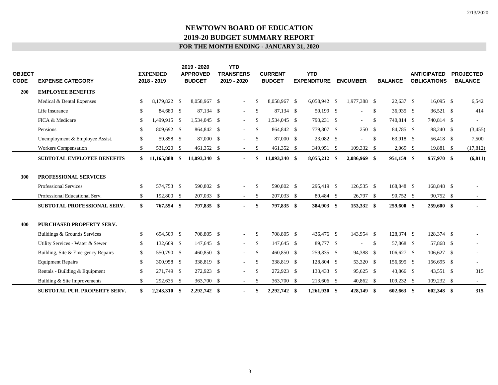| OBJECT<br>CODE | <b>EXPENSE CATEGORY</b>            |              | <b>EXPENDED</b><br>2018 - 2019 | 2019 - 2020<br><b>APPROVED</b><br><b>BUDGET</b> | <b>YTD</b><br><b>TRANSFERS</b><br>2019 - 2020 |               | <b>CURRENT</b><br><b>BUDGET</b> | <b>YTD</b><br><b>EXPENDITURE</b> | <b>ENCUMBER</b> |               | <b>BALANCE</b> | <b>ANTICIPATED</b><br><b>OBLIGATIONS</b> | <b>PROJECTED</b><br><b>BALANCE</b> |
|----------------|------------------------------------|--------------|--------------------------------|-------------------------------------------------|-----------------------------------------------|---------------|---------------------------------|----------------------------------|-----------------|---------------|----------------|------------------------------------------|------------------------------------|
| 200            | <b>EMPLOYEE BENEFITS</b>           |              |                                |                                                 |                                               |               |                                 |                                  |                 |               |                |                                          |                                    |
|                | Medical & Dental Expenses          | \$           | 8,179,822 \$                   | 8,058,967 \$                                    | $\overline{\phantom{a}}$                      | \$            | 8,058,967 \$                    | 6,058,942 \$                     | 1,977,388 \$    |               | $22,637$ \$    | $16,095$ \$                              | 6,542                              |
|                | Life Insurance                     | \$           | 84,680 \$                      | 87,134 \$                                       | $\overline{\phantom{a}}$                      | <sup>\$</sup> | 87,134 \$                       | 50,199 \$                        | ÷.              | <sup>\$</sup> | 36,935 \$      | 36,521 \$                                | 414                                |
|                | FICA & Medicare                    | \$           | 1,499,915 \$                   | 1,534,045 \$                                    | $\overline{\phantom{a}}$                      | \$            | 1,534,045 \$                    | 793,231 \$                       | $\sim$          | \$            | 740,814 \$     | 740,814 \$                               |                                    |
|                | Pensions                           | \$           | 809,692 \$                     | 864,842 \$                                      | $\sim$                                        | \$            | 864,842 \$                      | 779,807 \$                       | 250S            |               | 84,785 \$      | 88,240 \$                                | (3, 455)                           |
|                | Unemployment & Employee Assist.    | \$           | 59,858 \$                      | 87,000 \$                                       | $\sim$                                        | \$            | 87,000 \$                       | 23,082 \$                        | $\sim$          | \$            | 63,918 \$      | 56,418 \$                                | 7,500                              |
|                | <b>Workers Compensation</b>        | \$           | 531,920 \$                     | 461,352 \$                                      | $\sim$                                        | \$            | 461,352 \$                      | 349,951 \$                       | 109,332 \$      |               | $2,069$ \$     | 19,881 \$                                | (17, 812)                          |
|                | <b>SUBTOTAL EMPLOYEE BENEFITS</b>  | \$           | 11,165,888 \$                  | 11,093,340 \$                                   | $\blacksquare$                                | \$            | 11,093,340 \$                   | 8,055,212 \$                     | 2,086,969 \$    |               | 951,159 \$     | 957,970 \$                               | (6, 811)                           |
| 300            | PROFESSIONAL SERVICES              |              |                                |                                                 |                                               |               |                                 |                                  |                 |               |                |                                          |                                    |
|                | <b>Professional Services</b>       | $\mathbb{S}$ | 574,753 \$                     | 590,802 \$                                      | $\sim$                                        | \$            | 590,802 \$                      | 295,419 \$                       | 126,535 \$      |               | 168,848 \$     | 168,848 \$                               |                                    |
|                | Professional Educational Serv.     | $\mathbb{S}$ | 192,800 \$                     | 207,033 \$                                      | $\sim$                                        | \$            | 207,033 \$                      | 89,484 \$                        | 26,797          | -S            | 90,752 \$      | 90,752 \$                                |                                    |
|                | SUBTOTAL PROFESSIONAL SERV.        | \$           | 767,554 \$                     | 797,835 \$                                      | $\blacksquare$                                | \$            | 797,835 \$                      | 384,903 \$                       | 153,332 \$      |               | 259,600 \$     | 259,600 \$                               |                                    |
| 400            | <b>PURCHASED PROPERTY SERV.</b>    |              |                                |                                                 |                                               |               |                                 |                                  |                 |               |                |                                          |                                    |
|                | Buildings & Grounds Services       | \$           | 694,509 \$                     | 708,805 \$                                      | $\overline{\phantom{a}}$                      | \$            | 708,805 \$                      | 436,476 \$                       | 143,954 \$      |               | 128,374 \$     | 128,374 \$                               |                                    |
|                | Utility Services - Water & Sewer   | \$           | 132,669 \$                     | 147,645 \$                                      | $\sim$                                        | \$            | 147,645 \$                      | 89,777 \$                        | $\sim$          | <sup>\$</sup> | 57,868 \$      | 57,868 \$                                |                                    |
|                | Building, Site & Emergency Repairs | \$           | 550,790 \$                     | 460,850 \$                                      | $\sim$                                        | \$            | 460,850 \$                      | 259,835 \$                       | 94,388 \$       |               | 106,627 \$     | 106,627 \$                               |                                    |
|                | <b>Equipment Repairs</b>           | \$           | 300,958 \$                     | 338,819 \$                                      | $\sim$                                        | \$            | 338,819 \$                      | 128,804 \$                       | 53,320 \$       |               | 156,695 \$     | 156,695 \$                               |                                    |
|                | Rentals - Building & Equipment     | \$           | 271,749 \$                     | 272,923 \$                                      | $\sim$                                        | \$            | 272,923 \$                      | 133,433 \$                       | 95,625 \$       |               | 43,866 \$      | 43,551 \$                                | 315                                |
|                | Building & Site Improvements       | \$           | 292,635 \$                     | 363,700 \$                                      | $\sim$                                        | \$            | 363,700 \$                      | 213,606 \$                       | 40,862 \$       |               | 109,232 \$     | 109,232 \$                               | $\sim$                             |
|                | SUBTOTAL PUR. PROPERTY SERV.       | \$           | 2,243,310 \$                   | 2,292,742 \$                                    |                                               | \$            | 2,292,742 \$                    | $1,261,930$ \$                   | 428,149         | - \$          | $602,663$ \$   | 602,348 \$                               | 315                                |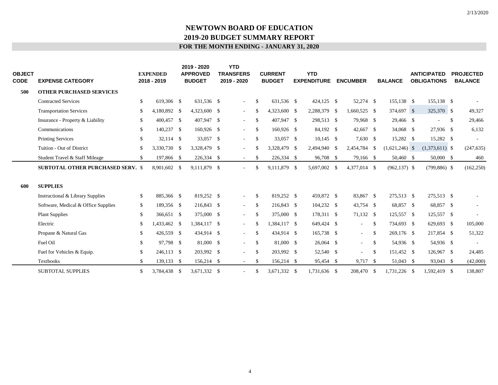| <b>OBJECT</b><br><b>CODE</b> | <b>EXPENSE CATEGORY</b>                  |              | <b>EXPENDED</b><br>2018 - 2019 | 2019 - 2020<br><b>APPROVED</b><br><b>BUDGET</b> | <b>YTD</b><br><b>TRANSFERS</b><br>2019 - 2020 |               | <b>CURRENT</b><br><b>BUDGET</b> | <b>YTD</b><br><b>EXPENDITURE</b> | <b>ENCUMBER</b> |               | <b>BALANCE</b>   | <b>ANTICIPATED</b><br><b>OBLIGATIONS</b> |    | <b>PROJECTED</b><br><b>BALANCE</b> |
|------------------------------|------------------------------------------|--------------|--------------------------------|-------------------------------------------------|-----------------------------------------------|---------------|---------------------------------|----------------------------------|-----------------|---------------|------------------|------------------------------------------|----|------------------------------------|
| 500                          | <b>OTHER PURCHASED SERVICES</b>          |              |                                |                                                 |                                               |               |                                 |                                  |                 |               |                  |                                          |    |                                    |
|                              | <b>Contracted Services</b>               | \$           | 619,306 \$                     | 631,536 \$                                      | $\sim$                                        | \$.           | 631,536 \$                      | 424,125 \$                       | 52,274 \$       |               | 155,138 \$       | 155,138 \$                               |    |                                    |
|                              | <b>Transportation Services</b>           | \$           | 4,180,892 \$                   | 4,323,600 \$                                    | $\sim$                                        | -S            | 4,323,600 \$                    | 2,288,379 \$                     | 1,660,525 \$    |               | 374,697 \$       | 325,370 \$                               |    | 49,327                             |
|                              | Insurance - Property & Liability         | \$           | 400,457 \$                     | 407,947 \$                                      | $\sim$                                        | $\mathbb{S}$  | 407,947 \$                      | 298,513 \$                       | 79,968 \$       |               | 29,466 \$        |                                          | -S | 29,466                             |
|                              | Communications                           | $\mathbb{S}$ | 140,237 \$                     | $160,926$ \$                                    | $\sim$                                        | <sup>\$</sup> | $160,926$ \$                    | 84,192 \$                        | 42,667 \$       |               | 34,068 \$        | 27,936 \$                                |    | 6,132                              |
|                              | <b>Printing Services</b>                 | \$           | 32,114 \$                      | 33,057 \$                                       | $\sim$                                        | $\mathbb{S}$  | 33,057 \$                       | $10,145$ \$                      | 7,630 \$        |               | 15,282 \$        | 15,282 \$                                |    |                                    |
|                              | Tuition - Out of District                | \$           | 3,330,730 \$                   | 3,328,479 \$                                    |                                               | \$.           | 3,328,479 \$                    | 2,494,940 \$                     | 2,454,784       | -\$           | $(1,621,246)$ \$ | $(1,373,611)$ \$                         |    | (247, 635)                         |
|                              | Student Travel & Staff Mileage           | \$           | 197,866 \$                     | 226,334 \$                                      | $\sim$                                        | S             | 226,334 \$                      | 96,708 \$                        | 79,166 \$       |               | 50,460 \$        | 50,000 \$                                |    | 460                                |
|                              | <b>SUBTOTAL OTHER PURCHASED SERV. \$</b> |              | 8,901,602 \$                   | 9,111,879 \$                                    |                                               | \$.           | 9,111,879 \$                    | 5,697,002 \$                     | 4,377,014 \$    |               | $(962, 137)$ \$  | $(799,886)$ \$                           |    | (162, 250)                         |
| 600                          | <b>SUPPLIES</b>                          |              |                                |                                                 |                                               |               |                                 |                                  |                 |               |                  |                                          |    |                                    |
|                              | Instructional & Library Supplies         | \$           | 885,366 \$                     | 819,252 \$                                      | $\sim$                                        | -S            | 819,252 \$                      | 459,872 \$                       | 83,867 \$       |               | 275,513 \$       | 275,513 \$                               |    |                                    |
|                              | Software, Medical & Office Supplies      | \$           | 189,356 \$                     | 216,843 \$                                      | $\sim$                                        | \$            | 216,843 \$                      | 104,232 \$                       | 43,754 \$       |               | 68,857 \$        | 68,857 \$                                |    |                                    |
|                              | <b>Plant Supplies</b>                    | \$           | 366,651 \$                     | 375,000 \$                                      | $\sim$                                        | S             | 375,000 \$                      | 178,311 \$                       | 71,132 \$       |               | 125,557 \$       | 125,557 \$                               |    |                                    |
|                              | Electric                                 | \$           | 433,462 \$                     | 1,384,117 \$                                    | $\sim$                                        | -S            | 1,384,117 \$                    | 649,424 \$                       | $\sim$          | <sup>\$</sup> | 734,693 \$       | 629,693 \$                               |    | 105,000                            |
|                              | Propane & Natural Gas                    | \$           | 426,559 \$                     | 434,914 \$                                      | $\sim$                                        | -S            | 434,914 \$                      | 165,738 \$                       | $\sim$          | <sup>\$</sup> | 269,176 \$       | 217,854 \$                               |    | 51,322                             |
|                              | Fuel Oil                                 | \$           | 97,798 \$                      | 81,000 \$                                       | $\sim$                                        | $\mathbb{S}$  | 81,000 \$                       | 26,064 \$                        | $\sim$          | \$            | 54,936 \$        | 54,936 \$                                |    |                                    |
|                              | Fuel for Vehicles & Equip.               | \$           | 246,113 \$                     | 203,992 \$                                      |                                               | <sup>\$</sup> | 203,992 \$                      | 52,540 \$                        | $\sim$          | <sup>\$</sup> | 151,452 \$       | 126,967 \$                               |    | 24,485                             |
|                              | Textbooks                                | \$           | 139,133 \$                     | 156,214 \$                                      | $\sim$                                        | S             | 156,214 \$                      | 95,454 \$                        | 9,717 \$        |               | 51,043 \$        | 93,043 \$                                |    | (42,000)                           |
|                              | <b>SUBTOTAL SUPPLIES</b>                 | \$           | 3,784,438 \$                   | 3,671,332 \$                                    |                                               | \$.           | 3,671,332 \$                    | 1,731,636 \$                     | 208,470         | - \$          | 1,731,226 \$     | 1,592,419 \$                             |    | 138,807                            |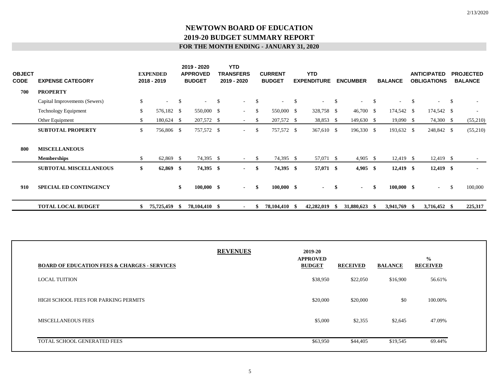| <b>OBJECT</b><br><b>CODE</b> | <b>EXPENSE CATEGORY</b>       | <b>EXPENDED</b><br>2018 - 2019 |              | 2019 - 2020<br><b>APPROVED</b><br><b>BUDGET</b> |    | <b>YTD</b><br><b>TRANSFERS</b><br>2019 - 2020 |               | <b>CURRENT</b><br><b>BUDGET</b> |              | <b>YTD</b><br><b>EXPENDITURE</b> |               | <b>ENCUMBER</b> |     | <b>BALANCE</b> |      | <b>ANTICIPATED</b><br><b>OBLIGATIONS</b> |               | <b>PROJECTED</b><br><b>BALANCE</b> |
|------------------------------|-------------------------------|--------------------------------|--------------|-------------------------------------------------|----|-----------------------------------------------|---------------|---------------------------------|--------------|----------------------------------|---------------|-----------------|-----|----------------|------|------------------------------------------|---------------|------------------------------------|
| 700                          | <b>PROPERTY</b>               |                                |              |                                                 |    |                                               |               |                                 |              |                                  |               |                 |     |                |      |                                          |               |                                    |
|                              | Capital Improvements (Sewers) | \$<br>$\sim$                   | $\mathbb{S}$ | $\sim 10^{-11}$                                 | -S | $\sim$                                        | -S            | $\sim$                          | <sup>S</sup> |                                  | <sup>\$</sup> | ٠               | -S  |                | \$   | $\sim$                                   | <sup>\$</sup> | $\sim$                             |
|                              | <b>Technology Equipment</b>   | \$<br>576,182 \$               |              | 550,000 \$                                      |    | $\sim 100$                                    | <sup>\$</sup> | 550,000 \$                      |              | 328,758 \$                       |               | $46,700$ \$     |     | 174,542 \$     |      | 174,542 \$                               |               | $\sim$                             |
|                              | Other Equipment               | \$<br>180,624 \$               |              | 207,572 \$                                      |    | $\sim$                                        | \$.           | 207,572 \$                      |              | 38,853 \$                        |               | 149,630 \$      |     | $19,090$ \$    |      | 74,300 \$                                |               | (55,210)                           |
|                              | <b>SUBTOTAL PROPERTY</b>      | \$<br>756,806 \$               |              | 757,572 \$                                      |    | $\sim 100$                                    | <sup>\$</sup> | 757,572 \$                      |              | 367,610 \$                       |               | 196,330 \$      |     | 193,632 \$     |      | 248,842 \$                               |               | (55,210)                           |
| 800                          | <b>MISCELLANEOUS</b>          |                                |              |                                                 |    |                                               |               |                                 |              |                                  |               |                 |     |                |      |                                          |               |                                    |
|                              | <b>Memberships</b>            | \$<br>62,869 \$                |              | 74,395 \$                                       |    | $\sim$                                        | <sup>S</sup>  | 74,395 \$                       |              | 57,071 \$                        |               | $4,905$ \$      |     | $12,419$ \$    |      | $12,419$ \$                              |               | $\overline{\phantom{a}}$           |
|                              | <b>SUBTOTAL MISCELLANEOUS</b> | \$<br>$62,869$ \$              |              | 74,395 \$                                       |    | $\sim$                                        | - \$          | 74,395 \$                       |              | 57,071 \$                        |               | 4,905 \$        |     | $12,419$ \$    |      | $12,419$ \$                              |               | $\blacksquare$                     |
| 910                          | <b>SPECIAL ED CONTINGENCY</b> |                                | \$           | $100,000$ \$                                    |    |                                               | -\$<br>$\sim$ | $100,000$ \$                    |              | $\sim$                           | -\$           | $\sim$          | -\$ | $100,000$ \$   |      | $\sim$                                   | $\mathcal{S}$ | 100,000                            |
|                              | <b>TOTAL LOCAL BUDGET</b>     | \$<br>75,725,459               | - \$         | 78,104,410 \$                                   |    | $\blacksquare$                                | S             | 78,104,410 \$                   |              | 42,282,019                       |               | 31,880,623      | -86 | 3,941,769      | - \$ | 3,716,452 \$                             |               | 225,317                            |

| <b>BOARD OF EDUCATION FEES &amp; CHARGES - SERVICES</b> | <b>REVENUES</b> | 2019-20<br><b>APPROVED</b><br><b>BUDGET</b> | <b>RECEIVED</b> | <b>BALANCE</b> | $\frac{0}{0}$<br><b>RECEIVED</b> |
|---------------------------------------------------------|-----------------|---------------------------------------------|-----------------|----------------|----------------------------------|
| <b>LOCAL TUITION</b>                                    |                 | \$38,950                                    | \$22,050        | \$16,900       | 56.61%                           |
| HIGH SCHOOL FEES FOR PARKING PERMITS                    |                 | \$20,000                                    | \$20,000        | \$0            | 100.00%                          |
| <b>MISCELLANEOUS FEES</b>                               |                 | \$5,000                                     | \$2,355         | \$2,645        | 47.09%                           |
| TOTAL SCHOOL GENERATED FEES                             |                 | \$63,950                                    | \$44,405        | \$19,545       | 69.44%                           |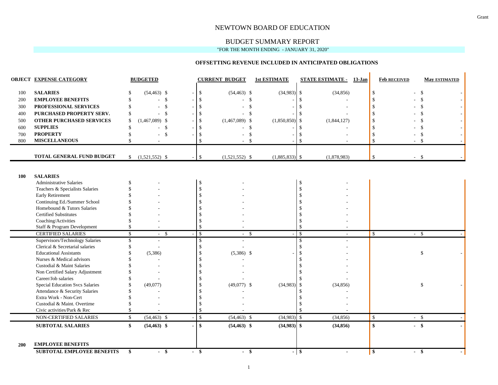#### NEWTOWN BOARD OF EDUCATION

#### BUDGET SUMMARY REPORT

"FOR THE MONTH ENDING - JANUARY 31, 2020"

#### **OFFSETTING REVENUE INCLUDED IN ANTICIPATED OBLIGATIONS**

|            | <b>OBJECT EXPENSE CATEGORY</b>                                   |               | <b>BUDGETED</b>                 |                    | <b>CURRENT BUDGET</b> |                    | <b>1st ESTIMATE</b> |                          | <b>STATE ESTIMATE - 13-Jan</b> | <b>Feb RECEIVED</b>     |               | <b>May ESTIMATED</b> |
|------------|------------------------------------------------------------------|---------------|---------------------------------|--------------------|-----------------------|--------------------|---------------------|--------------------------|--------------------------------|-------------------------|---------------|----------------------|
| 100        | <b>SALARIES</b>                                                  |               | $(54, 463)$ \$                  | \$                 | $(54, 463)$ \$        |                    | $(34,983)$ \$       |                          | (34, 856)                      | $\mathbb{S}$            | $\mathbb{S}$  |                      |
| 200        | <b>EMPLOYEE BENEFITS</b>                                         | \$            | $\mathbf{\hat{S}}$<br>$\sim$    | $\mathbb{S}$       |                       | $\mathbf{\hat{S}}$ |                     | \$.                      |                                | \$                      | $\mathcal{S}$ |                      |
| 300        | PROFESSIONAL SERVICES                                            |               | $\mathcal{S}$<br>$\sim$         | $\mathbb{S}$       |                       | $\mathcal{S}$      |                     | \$                       |                                | <sup>\$</sup>           | <sup>\$</sup> |                      |
| 400        | PURCHASED PROPERTY SERV.                                         | S             | -\$<br>$\overline{\phantom{a}}$ | \$                 |                       | -S                 |                     | \$                       |                                | \$                      | \$.           |                      |
| 500        | <b>OTHER PURCHASED SERVICES</b>                                  | \$            | $(1,467,089)$ \$                | $\mathbb{S}$       | $(1,467,089)$ \$      |                    | $(1,850,850)$ \$    |                          | (1,844,127)                    | \$                      | $\mathcal{S}$ |                      |
| 600        | <b>SUPPLIES</b>                                                  | \$            | $\mathbf{\hat{S}}$<br>÷.        | \$                 |                       | \$                 |                     | \$.                      |                                | \$                      | $\mathcal{S}$ |                      |
| 700        | <b>PROPERTY</b>                                                  | $\mathcal{S}$ | \$                              | \$                 |                       | $\mathbf{\hat{S}}$ |                     | \$                       |                                | \$                      | $\mathcal{S}$ |                      |
| 800        | <b>MISCELLANEOUS</b>                                             |               | $\sim$                          | \$                 |                       | -S                 |                     | \$                       |                                | \$                      | -\$           |                      |
|            |                                                                  |               |                                 |                    |                       |                    |                     |                          |                                |                         |               |                      |
|            | <b>TOTAL GENERAL FUND BUDGET</b>                                 | \$            | $(1,521,552)$ \$                | \$                 | $(1,521,552)$ \$      |                    | $(1,885,833)$ \$    |                          | (1,878,983)                    | $\mathbb{S}$            | $-$ \$        |                      |
|            |                                                                  |               |                                 |                    |                       |                    |                     |                          |                                |                         |               |                      |
| 100        | <b>SALARIES</b>                                                  |               |                                 |                    |                       |                    |                     |                          |                                |                         |               |                      |
|            | <b>Administrative Salaries</b>                                   |               |                                 | \$                 |                       |                    |                     | \$                       |                                |                         |               |                      |
|            | Teachers & Specialists Salaries                                  |               |                                 | \$                 |                       |                    |                     | \$                       |                                |                         |               |                      |
|            | <b>Early Retirement</b>                                          |               |                                 | \$                 |                       |                    |                     | \$                       |                                |                         |               |                      |
|            | Continuing Ed./Summer School                                     |               |                                 | \$                 |                       |                    |                     |                          |                                |                         |               |                      |
|            | Homebound & Tutors Salaries                                      |               |                                 | \$                 |                       |                    |                     |                          |                                |                         |               |                      |
|            | Certified Substitutes                                            |               |                                 | \$                 |                       |                    |                     |                          |                                |                         |               |                      |
|            | Coaching/Activities                                              |               |                                 | \$                 |                       |                    |                     |                          |                                |                         |               |                      |
|            | Staff & Program Development                                      |               |                                 | \$                 |                       |                    |                     | \$                       |                                |                         |               |                      |
|            | <b>CERTIFIED SALARIES</b>                                        | \$            | - \$                            | $\mathcal{S}$      | $\sim$                | - \$               |                     | $\overline{\mathcal{S}}$ |                                | \$                      | - \$          |                      |
|            | Supervisors/Technology Salaries                                  | <sup>\$</sup> |                                 | \$                 |                       |                    |                     | $\mathbb{S}$             |                                |                         |               |                      |
|            | Clerical & Secretarial salaries<br><b>Educational Assistants</b> |               | L.                              | $\mathbb{S}$<br>\$ |                       |                    |                     | \$<br>\$                 |                                |                         | \$            |                      |
|            | Nurses & Medical advisors                                        |               | (5,386)                         | \$                 | $(5,386)$ \$          |                    |                     |                          |                                |                         |               |                      |
|            | Custodial & Maint Salaries                                       |               |                                 | \$                 |                       |                    |                     |                          |                                |                         |               |                      |
|            | Non Certified Salary Adjustment                                  |               |                                 | \$                 |                       |                    |                     |                          |                                |                         |               |                      |
|            | Career/Job salaries                                              |               |                                 | \$                 |                       |                    |                     |                          |                                |                         |               |                      |
|            | <b>Special Education Svcs Salaries</b>                           |               | (49,077)                        | \$                 | $(49,077)$ \$         |                    | (34,983)            | $\mathcal{S}$            | (34, 856)                      |                         | \$            |                      |
|            | Attendance & Security Salaries                                   |               |                                 | \$                 |                       |                    |                     | \$                       |                                |                         |               |                      |
|            | Extra Work - Non-Cert                                            |               |                                 | \$                 |                       |                    |                     |                          |                                |                         |               |                      |
|            | Custodial & Maint. Overtime                                      |               |                                 | \$                 |                       |                    |                     |                          |                                |                         |               |                      |
|            | Civic activities/Park & Rec                                      |               |                                 | \$                 |                       |                    |                     | $\mathcal{S}$            |                                |                         |               |                      |
|            | NON-CERTIFIED SALARIES                                           | \$            | $(54, 463)$ \$                  | $\mathbf{s}$       | $(54, 463)$ \$        |                    | $(34,983)$ \$       |                          | (34, 856)                      | $\mathbb{S}$            | $-$ \$        |                      |
|            | <b>SUBTOTAL SALARIES</b>                                         | \$            | $(54, 463)$ \$                  | $\mathbf{s}$       | $(54, 463)$ \$        |                    | $(34,983)$ \$       |                          | (34, 856)                      | \$                      | $-$ \$        |                      |
|            |                                                                  |               |                                 |                    |                       |                    |                     |                          |                                |                         |               |                      |
| <b>200</b> | <b>EMPLOYEE BENEFITS</b>                                         |               |                                 |                    |                       |                    |                     |                          |                                |                         |               |                      |
|            | <b>SUBTOTAL EMPLOYEE BENEFITS</b>                                | \$            | $-$ \$                          | $-$ \$             | - \$                  |                    | $-$ \$              |                          | $\blacksquare$                 | $\overline{\mathbf{s}}$ | - \$          |                      |

 $\mathbb T$